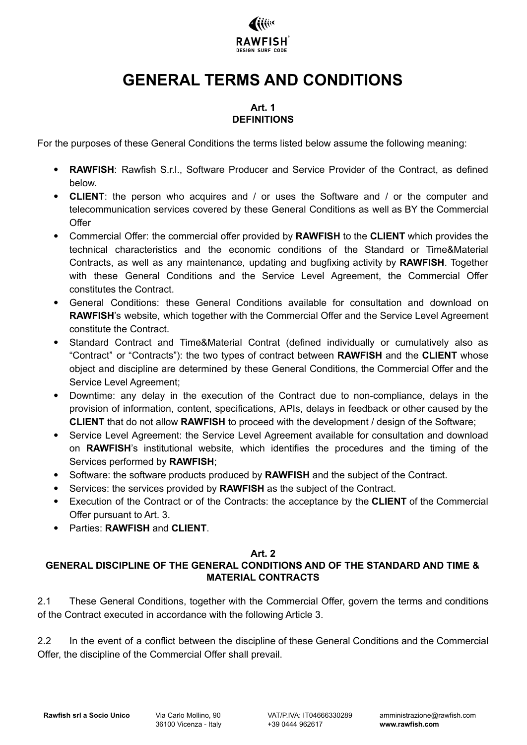

# **GENERAL TERMS AND CONDITIONS**

#### **Art. 1 DEFINITIONS**

For the purposes of these General Conditions the terms listed below assume the following meaning:

- **RAWFISH:** Rawfish S.r.l., Software Producer and Service Provider of the Contract, as defined below.
- **CLIENT**: the person who acquires and / or uses the Software and / or the computer and telecommunication services covered by these General Conditions as well as BY the Commercial **Offer**
- Commercial Offer: the commercial offer provided by **RAWFISH** to the **CLIENT** which provides the technical characteristics and the economic conditions of the Standard or Time&Material Contracts, as well as any maintenance, updating and bugfixing activity by **RAWFISH**. Together with these General Conditions and the Service Level Agreement, the Commercial Offer constitutes the Contract.
- General Conditions: these General Conditions available for consultation and download on **RAWFISH**'s website, which together with the Commercial Offer and the Service Level Agreement constitute the Contract.
- Standard Contract and Time&Material Contrat (defined individually or cumulatively also as "Contract" or "Contracts"): the two types of contract between **RAWFISH** and the **CLIENT** whose object and discipline are determined by these General Conditions, the Commercial Offer and the Service Level Agreement;
- Downtime: any delay in the execution of the Contract due to non-compliance, delays in the provision of information, content, specifications, APIs, delays in feedback or other caused by the **CLIENT** that do not allow **RAWFISH** to proceed with the development / design of the Software;
- Service Level Agreement: the Service Level Agreement available for consultation and download on **RAWFISH**'s institutional website, which identifies the procedures and the timing of the Services performed by **RAWFISH**;
- Software: the software products produced by **RAWFISH** and the subject of the Contract.
- Services: the services provided by **RAWFISH** as the subject of the Contract.
- Execution of the Contract or of the Contracts: the acceptance by the **CLIENT** of the Commercial Offer pursuant to Art. 3.
- Parties: **RAWFISH** and **CLIENT**.

#### **Art. 2**

#### **GENERAL DISCIPLINE OF THE GENERAL CONDITIONS AND OF THE STANDARD AND TIME & MATERIAL CONTRACTS**

2.1 These General Conditions, together with the Commercial Offer, govern the terms and conditions of the Contract executed in accordance with the following Article 3.

2.2 In the event of a conflict between the discipline of these General Conditions and the Commercial Offer, the discipline of the Commercial Offer shall prevail.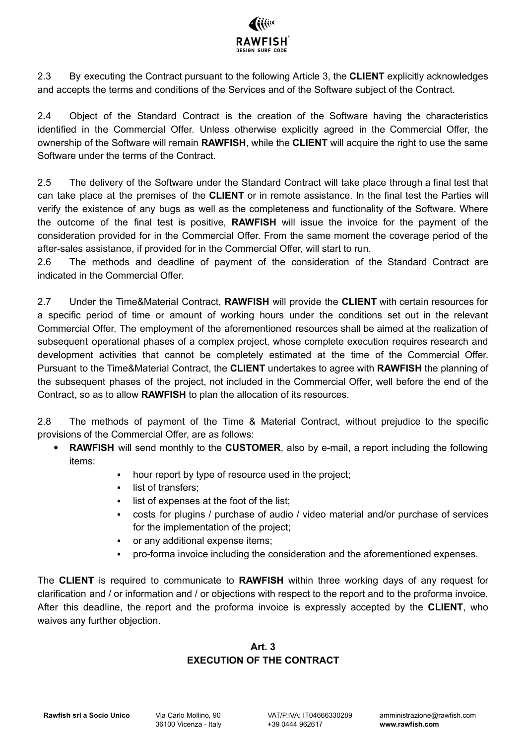

2.3 By executing the Contract pursuant to the following Article 3, the **CLIENT** explicitly acknowledges and accepts the terms and conditions of the Services and of the Software subject of the Contract.

2.4 Object of the Standard Contract is the creation of the Software having the characteristics identified in the Commercial Offer. Unless otherwise explicitly agreed in the Commercial Offer, the ownership of the Software will remain **RAWFISH**, while the **CLIENT** will acquire the right to use the same Software under the terms of the Contract.

2.5 The delivery of the Software under the Standard Contract will take place through a final test that can take place at the premises of the **CLIENT** or in remote assistance. In the final test the Parties will verify the existence of any bugs as well as the completeness and functionality of the Software. Where the outcome of the final test is positive, **RAWFISH** will issue the invoice for the payment of the consideration provided for in the Commercial Offer. From the same moment the coverage period of the after-sales assistance, if provided for in the Commercial Offer, will start to run.

2.6 The methods and deadline of payment of the consideration of the Standard Contract are indicated in the Commercial Offer.

2.7 Under the Time&Material Contract, **RAWFISH** will provide the **CLIENT** with certain resources for a specific period of time or amount of working hours under the conditions set out in the relevant Commercial Offer. The employment of the aforementioned resources shall be aimed at the realization of subsequent operational phases of a complex project, whose complete execution requires research and development activities that cannot be completely estimated at the time of the Commercial Offer. Pursuant to the Time&Material Contract, the **CLIENT** undertakes to agree with **RAWFISH** the planning of the subsequent phases of the project, not included in the Commercial Offer, well before the end of the Contract, so as to allow **RAWFISH** to plan the allocation of its resources.

2.8 The methods of payment of the Time & Material Contract, without prejudice to the specific provisions of the Commercial Offer, are as follows:

- **RAWFISH** will send monthly to the **CUSTOMER**, also by e-mail, a report including the following items:
	- hour report by type of resource used in the project;
	- list of transfers;
	- list of expenses at the foot of the list:
	- costs for plugins / purchase of audio / video material and/or purchase of services for the implementation of the project;
	- or any additional expense items;
	- pro-forma invoice including the consideration and the aforementioned expenses.

The **CLIENT** is required to communicate to **RAWFISH** within three working days of any request for clarification and / or information and / or objections with respect to the report and to the proforma invoice. After this deadline, the report and the proforma invoice is expressly accepted by the **CLIENT**, who waives any further objection.

#### **Art. 3 EXECUTION OF THE CONTRACT**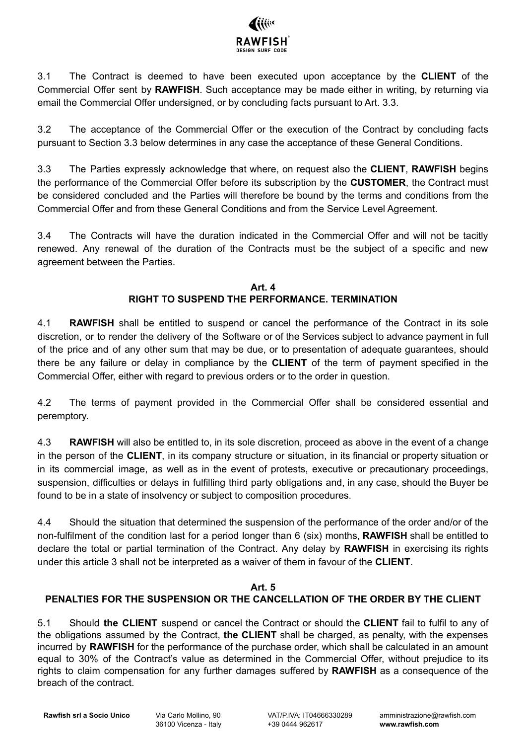

3.1 The Contract is deemed to have been executed upon acceptance by the **CLIENT** of the Commercial Offer sent by **RAWFISH**. Such acceptance may be made either in writing, by returning via email the Commercial Offer undersigned, or by concluding facts pursuant to Art. 3.3.

3.2 The acceptance of the Commercial Offer or the execution of the Contract by concluding facts pursuant to Section 3.3 below determines in any case the acceptance of these General Conditions.

3.3 The Parties expressly acknowledge that where, on request also the **CLIENT**, **RAWFISH** begins the performance of the Commercial Offer before its subscription by the **CUSTOMER**, the Contract must be considered concluded and the Parties will therefore be bound by the terms and conditions from the Commercial Offer and from these General Conditions and from the Service Level Agreement.

3.4 The Contracts will have the duration indicated in the Commercial Offer and will not be tacitly renewed. Any renewal of the duration of the Contracts must be the subject of a specific and new agreement between the Parties.

#### **Art. 4 RIGHT TO SUSPEND THE PERFORMANCE. TERMINATION**

4.1 **RAWFISH** shall be entitled to suspend or cancel the performance of the Contract in its sole discretion, or to render the delivery of the Software or of the Services subject to advance payment in full of the price and of any other sum that may be due, or to presentation of adequate guarantees, should there be any failure or delay in compliance by the **CLIENT** of the term of payment specified in the Commercial Offer, either with regard to previous orders or to the order in question.

4.2 The terms of payment provided in the Commercial Offer shall be considered essential and peremptory.

4.3 **RAWFISH** will also be entitled to, in its sole discretion, proceed as above in the event of a change in the person of the **CLIENT**, in its company structure or situation, in its financial or property situation or in its commercial image, as well as in the event of protests, executive or precautionary proceedings, suspension, difficulties or delays in fulfilling third party obligations and, in any case, should the Buyer be found to be in a state of insolvency or subject to composition procedures.

4.4 Should the situation that determined the suspension of the performance of the order and/or of the non-fulfilment of the condition last for a period longer than 6 (six) months, **RAWFISH** shall be entitled to declare the total or partial termination of the Contract. Any delay by **RAWFISH** in exercising its rights under this article 3 shall not be interpreted as a waiver of them in favour of the **CLIENT**.

#### **Art. 5**

# **PENALTIES FOR THE SUSPENSION OR THE CANCELLATION OF THE ORDER BY THE CLIENT**

5.1 Should **the CLIENT** suspend or cancel the Contract or should the **CLIENT** fail to fulfil to any of the obligations assumed by the Contract, **the CLIENT** shall be charged, as penalty, with the expenses incurred by **RAWFISH** for the performance of the purchase order, which shall be calculated in an amount equal to 30% of the Contract's value as determined in the Commercial Offer, without prejudice to its rights to claim compensation for any further damages suffered by **RAWFISH** as a consequence of the breach of the contract.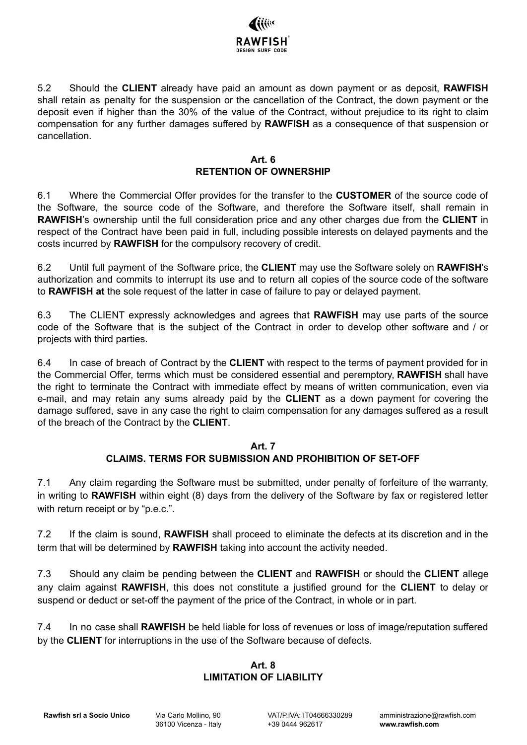

5.2 Should the **CLIENT** already have paid an amount as down payment or as deposit, **RAWFISH** shall retain as penalty for the suspension or the cancellation of the Contract, the down payment or the deposit even if higher than the 30% of the value of the Contract, without prejudice to its right to claim compensation for any further damages suffered by **RAWFISH** as a consequence of that suspension or cancellation.

#### **Art. 6 RETENTION OF OWNERSHIP**

6.1 Where the Commercial Offer provides for the transfer to the **CUSTOMER** of the source code of the Software, the source code of the Software, and therefore the Software itself, shall remain in **RAWFISH**'s ownership until the full consideration price and any other charges due from the **CLIENT** in respect of the Contract have been paid in full, including possible interests on delayed payments and the costs incurred by **RAWFISH** for the compulsory recovery of credit.

6.2 Until full payment of the Software price, the **CLIENT** may use the Software solely on **RAWFISH**'s authorization and commits to interrupt its use and to return all copies of the source code of the software to **RAWFISH at** the sole request of the latter in case of failure to pay or delayed payment.

6.3 The CLIENT expressly acknowledges and agrees that **RAWFISH** may use parts of the source code of the Software that is the subject of the Contract in order to develop other software and / or projects with third parties.

6.4 In case of breach of Contract by the **CLIENT** with respect to the terms of payment provided for in the Commercial Offer, terms which must be considered essential and peremptory, **RAWFISH** shall have the right to terminate the Contract with immediate effect by means of written communication, even via e-mail, and may retain any sums already paid by the **CLIENT** as a down payment for covering the damage suffered, save in any case the right to claim compensation for any damages suffered as a result of the breach of the Contract by the **CLIENT**.

#### **Art. 7**

# **CLAIMS. TERMS FOR SUBMISSION AND PROHIBITION OF SET-OFF**

7.1 Any claim regarding the Software must be submitted, under penalty of forfeiture of the warranty, in writing to **RAWFISH** within eight (8) days from the delivery of the Software by fax or registered letter with return receipt or by "p.e.c.".

7.2 If the claim is sound, **RAWFISH** shall proceed to eliminate the defects at its discretion and in the term that will be determined by **RAWFISH** taking into account the activity needed.

7.3 Should any claim be pending between the **CLIENT** and **RAWFISH** or should the **CLIENT** allege any claim against **RAWFISH**, this does not constitute a justified ground for the **CLIENT** to delay or suspend or deduct or set-off the payment of the price of the Contract, in whole or in part.

7.4 In no case shall **RAWFISH** be held liable for loss of revenues or loss of image/reputation suffered by the **CLIENT** for interruptions in the use of the Software because of defects.

#### **Art. 8 LIMITATION OF LIABILITY**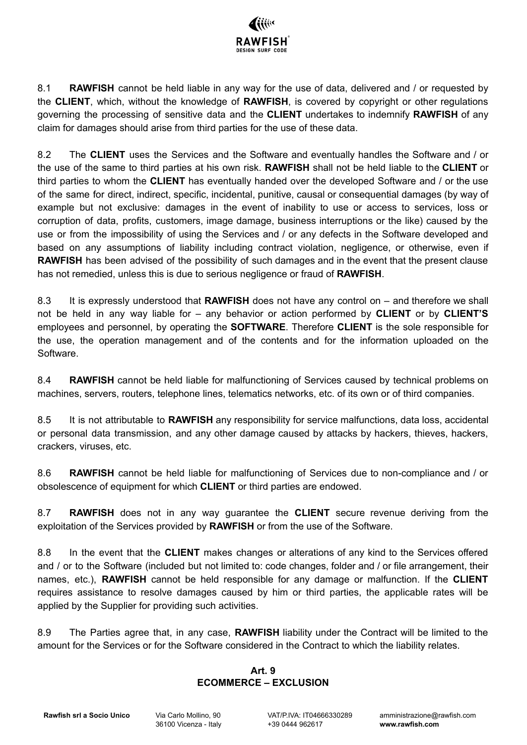

8.1 **RAWFISH** cannot be held liable in any way for the use of data, delivered and / or requested by the **CLIENT**, which, without the knowledge of **RAWFISH**, is covered by copyright or other regulations governing the processing of sensitive data and the **CLIENT** undertakes to indemnify **RAWFISH** of any claim for damages should arise from third parties for the use of these data.

8.2 The **CLIENT** uses the Services and the Software and eventually handles the Software and / or the use of the same to third parties at his own risk. **RAWFISH** shall not be held liable to the **CLIENT** or third parties to whom the **CLIENT** has eventually handed over the developed Software and / or the use of the same for direct, indirect, specific, incidental, punitive, causal or consequential damages (by way of example but not exclusive: damages in the event of inability to use or access to services, loss or corruption of data, profits, customers, image damage, business interruptions or the like) caused by the use or from the impossibility of using the Services and / or any defects in the Software developed and based on any assumptions of liability including contract violation, negligence, or otherwise, even if **RAWFISH** has been advised of the possibility of such damages and in the event that the present clause has not remedied, unless this is due to serious negligence or fraud of **RAWFISH**.

8.3 It is expressly understood that **RAWFISH** does not have any control on – and therefore we shall not be held in any way liable for – any behavior or action performed by **CLIENT** or by **CLIENT'S** employees and personnel, by operating the **SOFTWARE**. Therefore **CLIENT** is the sole responsible for the use, the operation management and of the contents and for the information uploaded on the Software.

8.4 **RAWFISH** cannot be held liable for malfunctioning of Services caused by technical problems on machines, servers, routers, telephone lines, telematics networks, etc. of its own or of third companies.

8.5 It is not attributable to **RAWFISH** any responsibility for service malfunctions, data loss, accidental or personal data transmission, and any other damage caused by attacks by hackers, thieves, hackers, crackers, viruses, etc.

8.6 **RAWFISH** cannot be held liable for malfunctioning of Services due to non-compliance and / or obsolescence of equipment for which **CLIENT** or third parties are endowed.

8.7 **RAWFISH** does not in any way guarantee the **CLIENT** secure revenue deriving from the exploitation of the Services provided by **RAWFISH** or from the use of the Software.

8.8 In the event that the **CLIENT** makes changes or alterations of any kind to the Services offered and / or to the Software (included but not limited to: code changes, folder and / or file arrangement, their names, etc.), **RAWFISH** cannot be held responsible for any damage or malfunction. If the **CLIENT** requires assistance to resolve damages caused by him or third parties, the applicable rates will be applied by the Supplier for providing such activities.

8.9 The Parties agree that, in any case, **RAWFISH** liability under the Contract will be limited to the amount for the Services or for the Software considered in the Contract to which the liability relates.

## **Art. 9 ECOMMERCE – EXCLUSION**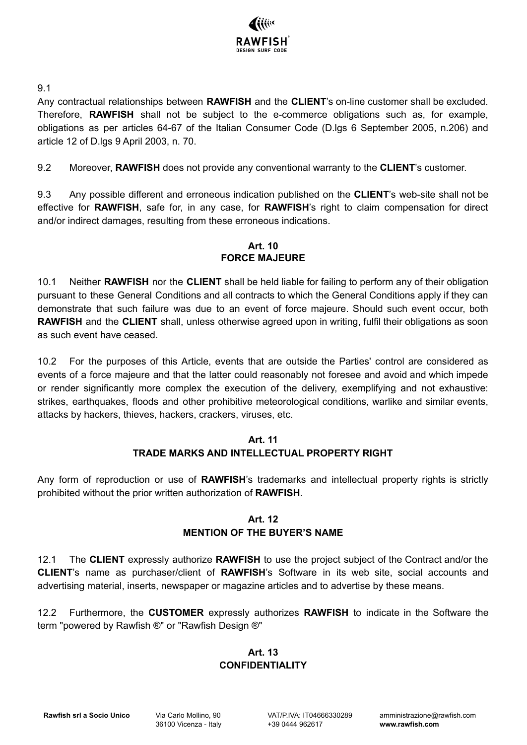

9.1

Any contractual relationships between **RAWFISH** and the **CLIENT**'s on-line customer shall be excluded. Therefore, **RAWFISH** shall not be subject to the e-commerce obligations such as, for example, obligations as per articles 64-67 of the Italian Consumer Code (D.lgs 6 September 2005, n.206) and article 12 of D.lgs 9 April 2003, n. 70.

9.2 Moreover, **RAWFISH** does not provide any conventional warranty to the **CLIENT**'s customer.

9.3 Any possible different and erroneous indication published on the **CLIENT**'s web-site shall not be effective for **RAWFISH**, safe for, in any case, for **RAWFISH**'s right to claim compensation for direct and/or indirect damages, resulting from these erroneous indications.

#### **Art. 10 FORCE MAJEURE**

10.1 Neither **RAWFISH** nor the **CLIENT** shall be held liable for failing to perform any of their obligation pursuant to these General Conditions and all contracts to which the General Conditions apply if they can demonstrate that such failure was due to an event of force majeure. Should such event occur, both **RAWFISH** and the **CLIENT** shall, unless otherwise agreed upon in writing, fulfil their obligations as soon as such event have ceased.

10.2 For the purposes of this Article, events that are outside the Parties' control are considered as events of a force majeure and that the latter could reasonably not foresee and avoid and which impede or render significantly more complex the execution of the delivery, exemplifying and not exhaustive: strikes, earthquakes, floods and other prohibitive meteorological conditions, warlike and similar events, attacks by hackers, thieves, hackers, crackers, viruses, etc.

#### **Art. 11 TRADE MARKS AND INTELLECTUAL PROPERTY RIGHT**

Any form of reproduction or use of **RAWFISH**'s trademarks and intellectual property rights is strictly prohibited without the prior written authorization of **RAWFISH**.

## **Art. 12 MENTION OF THE BUYER'S NAME**

12.1 The **CLIENT** expressly authorize **RAWFISH** to use the project subject of the Contract and/or the **CLIENT**'s name as purchaser/client of **RAWFISH**'s Software in its web site, social accounts and advertising material, inserts, newspaper or magazine articles and to advertise by these means.

12.2 Furthermore, the **CUSTOMER** expressly authorizes **RAWFISH** to indicate in the Software the term "powered by Rawfish ®" or "Rawfish Design ®"

# **Art. 13 CONFIDENTIALITY**

**Rawfish srl a Socio Unico** Via Carlo Mollino, 90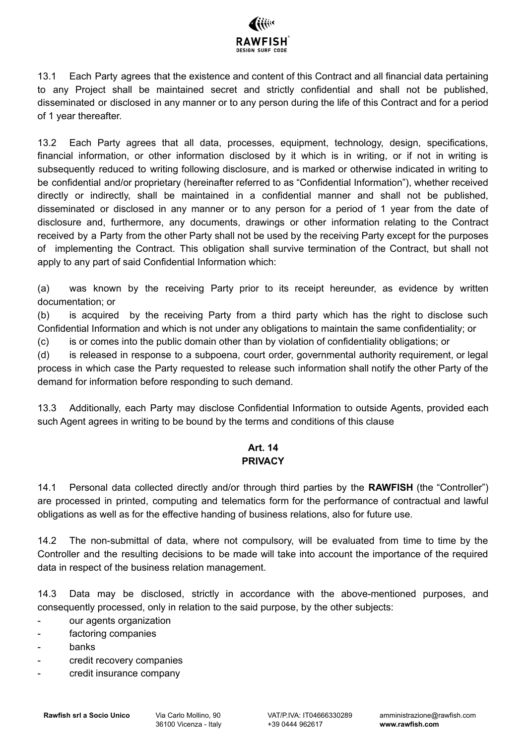

13.1 Each Party agrees that the existence and content of this Contract and all financial data pertaining to any Project shall be maintained secret and strictly confidential and shall not be published, disseminated or disclosed in any manner or to any person during the life of this Contract and for a period of 1 year thereafter.

13.2 Each Party agrees that all data, processes, equipment, technology, design, specifications, financial information, or other information disclosed by it which is in writing, or if not in writing is subsequently reduced to writing following disclosure, and is marked or otherwise indicated in writing to be confidential and/or proprietary (hereinafter referred to as "Confidential Information"), whether received directly or indirectly, shall be maintained in a confidential manner and shall not be published, disseminated or disclosed in any manner or to any person for a period of 1 year from the date of disclosure and, furthermore, any documents, drawings or other information relating to the Contract received by a Party from the other Party shall not be used by the receiving Party except for the purposes of implementing the Contract. This obligation shall survive termination of the Contract, but shall not apply to any part of said Confidential Information which:

(a) was known by the receiving Party prior to its receipt hereunder, as evidence by written documentation; or

(b) is acquired by the receiving Party from a third party which has the right to disclose such Confidential Information and which is not under any obligations to maintain the same confidentiality; or

(c) is or comes into the public domain other than by violation of confidentiality obligations; or

(d) is released in response to a subpoena, court order, governmental authority requirement, or legal process in which case the Party requested to release such information shall notify the other Party of the demand for information before responding to such demand.

13.3 Additionally, each Party may disclose Confidential Information to outside Agents, provided each such Agent agrees in writing to be bound by the terms and conditions of this clause

## **Art. 14 PRIVACY**

14.1 Personal data collected directly and/or through third parties by the **RAWFISH** (the "Controller") are processed in printed, computing and telematics form for the performance of contractual and lawful obligations as well as for the effective handing of business relations, also for future use.

14.2 The non-submittal of data, where not compulsory, will be evaluated from time to time by the Controller and the resulting decisions to be made will take into account the importance of the required data in respect of the business relation management.

14.3 Data may be disclosed, strictly in accordance with the above-mentioned purposes, and consequently processed, only in relation to the said purpose, by the other subjects:

- our agents organization
- factoring companies
- banks
- credit recovery companies
- credit insurance company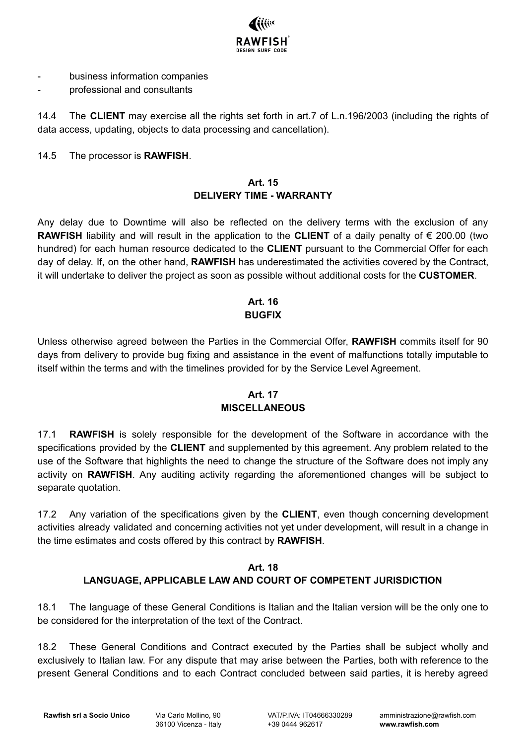

- business information companies
- professional and consultants

14.4 The **CLIENT** may exercise all the rights set forth in art.7 of L.n.196/2003 (including the rights of data access, updating, objects to data processing and cancellation).

#### 14.5 The processor is **RAWFISH**.

#### **Art. 15 DELIVERY TIME - WARRANTY**

Any delay due to Downtime will also be reflected on the delivery terms with the exclusion of any **RAWFISH** liability and will result in the application to the **CLIENT** of a daily penalty of € 200.00 (two hundred) for each human resource dedicated to the **CLIENT** pursuant to the Commercial Offer for each day of delay. If, on the other hand, **RAWFISH** has underestimated the activities covered by the Contract, it will undertake to deliver the project as soon as possible without additional costs for the **CUSTOMER**.

## **Art. 16 BUGFIX**

Unless otherwise agreed between the Parties in the Commercial Offer, **RAWFISH** commits itself for 90 days from delivery to provide bug fixing and assistance in the event of malfunctions totally imputable to itself within the terms and with the timelines provided for by the Service Level Agreement.

## **Art. 17 MISCELLANEOUS**

17.1 **RAWFISH** is solely responsible for the development of the Software in accordance with the specifications provided by the **CLIENT** and supplemented by this agreement. Any problem related to the use of the Software that highlights the need to change the structure of the Software does not imply any activity on **RAWFISH**. Any auditing activity regarding the aforementioned changes will be subject to separate quotation.

17.2 Any variation of the specifications given by the **CLIENT**, even though concerning development activities already validated and concerning activities not yet under development, will result in a change in the time estimates and costs offered by this contract by **RAWFISH**.

# **Art. 18 LANGUAGE, APPLICABLE LAW AND COURT OF COMPETENT JURISDICTION**

18.1 The language of these General Conditions is Italian and the Italian version will be the only one to be considered for the interpretation of the text of the Contract.

18.2 These General Conditions and Contract executed by the Parties shall be subject wholly and exclusively to Italian law. For any dispute that may arise between the Parties, both with reference to the present General Conditions and to each Contract concluded between said parties, it is hereby agreed